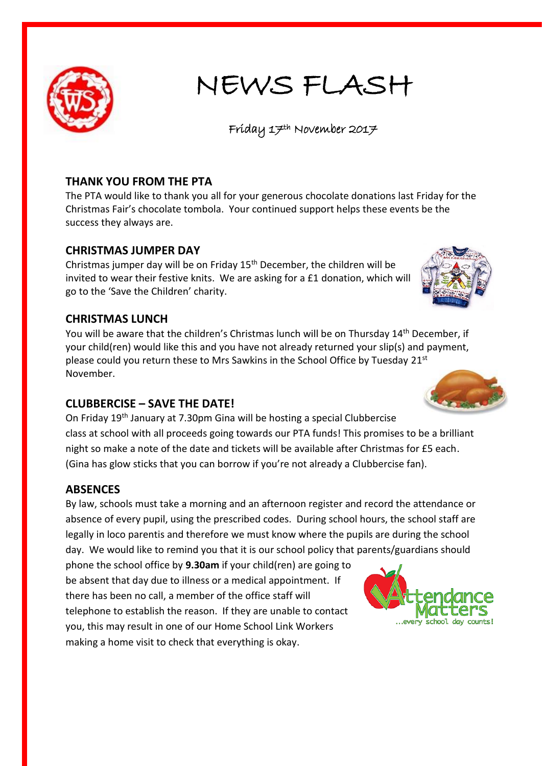

# NEWS FLASH

Friday 17th November 2017

## **THANK YOU FROM THE PTA**

The PTA would like to thank you all for your generous chocolate donations last Friday for the Christmas Fair's chocolate tombola. Your continued support helps these events be the success they always are.

### **CHRISTMAS JUMPER DAY**

Christmas jumper day will be on Friday 15th December, the children will be invited to wear their festive knits. We are asking for a £1 donation, which will go to the 'Save the Children' charity.

### **CHRISTMAS LUNCH**

You will be aware that the children's Christmas lunch will be on Thursday 14<sup>th</sup> December, if your child(ren) would like this and you have not already returned your slip(s) and payment, please could you return these to Mrs Sawkins in the School Office by Tuesday 21st November.

### **CLUBBERCISE – SAVE THE DATE!**

On Friday 19th January at 7.30pm Gina will be hosting a special Clubbercise class at school with all proceeds going towards our PTA funds! This promises to be a brilliant night so make a note of the date and tickets will be available after Christmas for £5 each. (Gina has glow sticks that you can borrow if you're not already a Clubbercise fan).

### **ABSENCES**

By law, schools must take a morning and an afternoon register and record the attendance or absence of every pupil, using the prescribed codes. During school hours, the school staff are legally in loco parentis and therefore we must know where the pupils are during the school day. We would like to remind you that it is our school policy that parents/guardians should

phone the school office by **9.30am** if your child(ren) are going to be absent that day due to illness or a medical appointment. If there has been no call, a member of the office staff will telephone to establish the reason. If they are unable to contact you, this may result in one of our Home School Link Workers making a home visit to check that everything is okay.